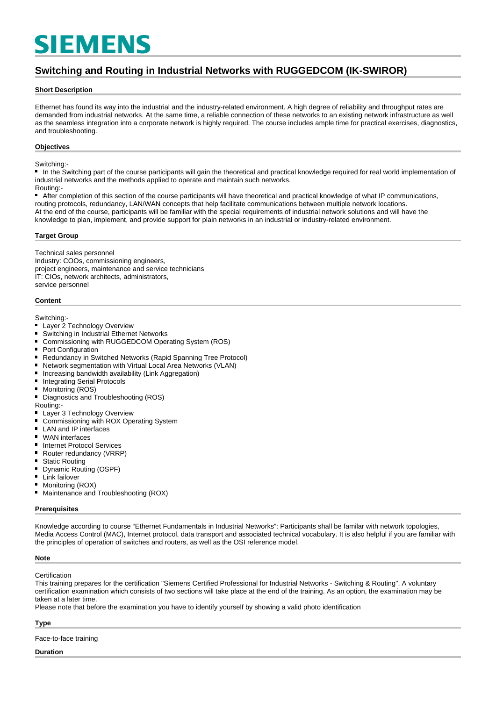# **SIEMENS**

## **Switching and Routing in Industrial Networks with RUGGEDCOM (IK-SWIROR)**

#### **Short Description**

Ethernet has found its way into the industrial and the industry-related environment. A high degree of reliability and throughput rates are demanded from industrial networks. At the same time, a reliable connection of these networks to an existing network infrastructure as well as the seamless integration into a corporate network is highly required. The course includes ample time for practical exercises, diagnostics, and troubleshooting.

#### **Objectives**

#### Switching:

In the Switching part of the course participants will gain the theoretical and practical knowledge required for real world implementation of industrial networks and the methods applied to operate and maintain such networks.

#### Routing:-

■ After completion of this section of the course participants will have theoretical and practical knowledge of what IP communications, routing protocols, redundancy, LAN/WAN concepts that help facilitate communications between multiple network locations. At the end of the course, participants will be familiar with the special requirements of industrial network solutions and will have the knowledge to plan, implement, and provide support for plain networks in an industrial or industry-related environment.

#### **Target Group**

Technical sales personnel Industry: COOs, commissioning engineers, project engineers, maintenance and service technicians IT: CIOs, network architects, administrators, service personnel

#### **Content**

Switching:-

- **Layer 2 Technology Overview**
- $\blacksquare$ Switching in Industrial Ethernet Networks
- $\blacksquare$ Commissioning with RUGGEDCOM Operating System (ROS)
- Port Configuration  $\blacksquare$
- $\blacksquare$ Redundancy in Switched Networks (Rapid Spanning Tree Protocol)
- Network segmentation with Virtual Local Area Networks (VLAN)
- Increasing bandwidth availability (Link Aggregation)  $\blacksquare$
- Integrating Serial Protocols  $\blacksquare$
- $\blacksquare$ Monitoring (ROS)
- $\blacksquare$ Diagnostics and Troubleshooting (ROS)
- Routing:
- $\blacksquare$ Layer 3 Technology Overview
- $\blacksquare$ Commissioning with ROX Operating System
- $\blacksquare$ LAN and IP interfaces
- WAN interfaces
- $\blacksquare$ Internet Protocol Services
- $\blacksquare$ Router redundancy (VRRP)
- Static Routing
- $\blacksquare$ Dynamic Routing (OSPF)
- $\blacksquare$ Link failover
- Monitoring (ROX)
- Maintenance and Troubleshooting (ROX)

#### **Prerequisites**

Knowledge according to course "Ethernet Fundamentals in Industrial Networks": Participants shall be familar with network topologies, Media Access Control (MAC), Internet protocol, data transport and associated technical vocabulary. It is also helpful if you are familiar with the principles of operation of switches and routers, as well as the OSI reference model.

#### **Note**

#### **Certification**

This training prepares for the certification "Siemens Certified Professional for Industrial Networks - Switching & Routing". A voluntary certification examination which consists of two sections will take place at the end of the training. As an option, the examination may be taken at a later time.

Please note that before the examination you have to identify yourself by showing a valid photo identification

#### **Type**

Face-to-face training

#### **Duration**